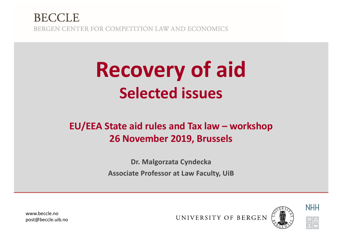#### **BECCLE** BERGEN CENTER FOR COMPETITION LAW AND ECONOMICS

# **Recovery of aid Selected issues**

#### **EU/EEA State aid rules and Tax law – workshop 26 November 2019, Brussels**

**Dr. Malgorzata Cyndecka Associate Professor at Law Faculty, UiB**

www.beccle.no post@beccle.uib.no

UNIVERSITY OF BERGEN



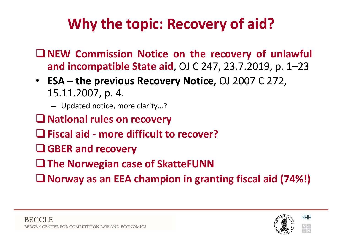## **Why the topic: Recovery of aid?**

q**NEW Commission Notice on the recovery of unlawful and incompatible State aid**, OJ C 247, 23.7.2019, p. 1–23

• **ESA – the previous Recovery Notice**, OJ 2007 C 272, 15.11.2007, p. 4.

– Updated notice, more clarity…?

q**National rules on recovery**

q**Fiscal aid - more difficult to recover?**

q**GBER and recovery**

**Q** The Norwegian case of SkatteFUNN

q**Norway as an EEA champion in granting fiscal aid (74%!)**

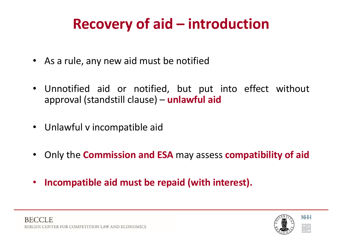### **Recovery of aid – introduction**

- As a rule, any new aid must be notified
- Unnotified aid or notified, but put into effect without approval (standstill clause) – **unlawful aid**
- Unlawful v incompatible aid
- Only the **Commission and ESA** may assess **compatibility of aid**
- **Incompatible aid must be repaid (with interest).**



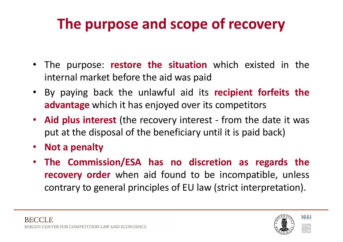### **The purpose and scope of recovery**

- The purpose: **restore the situation** which existed in the internal market before the aid was paid
- By paying back the unlawful aid its **recipient forfeits the advantage** which it has enjoyed over its competitors
- **Aid plus interest** (the recovery interest from the date it was put at the disposal of the beneficiary until it is paid back)
- **Not a penalty**
- **The Commission/ESA has no discretion as regards the recovery order** when aid found to be incompatible, unless contrary to general principles of EU law (strict interpretation).



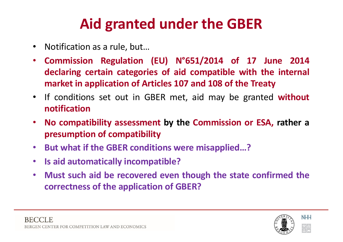## **Aid granted under the GBER**

- Notification as a rule, but...
- **Commission Regulation (EU) N°651/2014 of 17 June 2014 declaring certain categories of aid compatible with the internal market in application of Articles 107 and 108 of the Treaty**
- If conditions set out in GBER met, aid may be granted **without notification**
- **No compatibility assessment by the Commission or ESA, rather a presumption of compatibility**
- **But what if the GBER conditions were misapplied…?**
- **Is aid automatically incompatible?**
- **Must such aid be recovered even though the state confirmed the correctness of the application of GBER?**

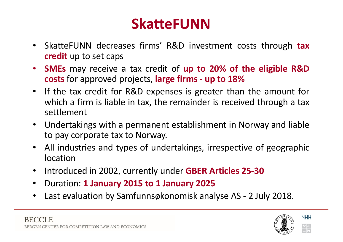### **SkatteFUNN**

- SkatteFUNN decreases firms' R&D investment costs through **tax credit** up to set caps
- **SMEs** may receive a tax credit of **up to 20% of the eligible R&D costs** for approved projects, **large firms - up to 18%**
- If the tax credit for R&D expenses is greater than the amount for which a firm is liable in tax, the remainder is received through a tax settlement
- Undertakings with a permanent establishment in Norway and liable to pay corporate tax to Norway.
- All industries and types of undertakings, irrespective of geographic location
- Introduced in 2002, currently under **GBER Articles 25-30**
- Duration: **1 January 2015 to 1 January 2025**
- Last evaluation by Samfunnsøkonomisk analyse AS 2 July 2018.

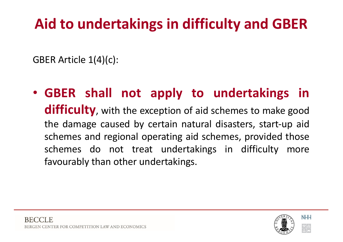### **Aid to undertakings in difficulty and GBER**

GBER Article 1(4)(c):

• **GBER shall not apply to undertakings in difficulty**, with the exception of aid schemes to make good the damage caused by certain natural disasters, start-up aid schemes and regional operating aid schemes, provided those schemes do not treat undertakings in difficulty more favourably than other undertakings.

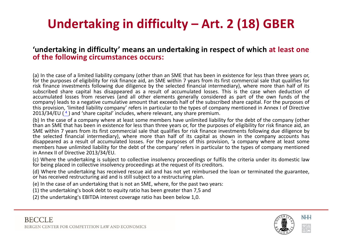#### **Undertaking in difficulty – Art. 2 (18) GBER**

#### **'undertaking in difficulty' means an undertaking in respect of which at least one of the following circumstances occurs:**

(a) In the case of a limited liability company (other than an SME that has been in existence for less than three years or, for the purposes of eligibility for risk finance aid, an SME within 7 years from its first commercial sale that qualifies for risk finance investments following due diligence by the selected financial intermediary), where more than half of its subscribed share capital has disappeared as a result of accumulated losses. This is the case when deduction of accumulated losses from reserves (and all other elements generally considered as part of the own funds of the company) leads to a negative cumulative amount that exceeds half of the subscribed share capital. For the purposes of this provision, 'limited liability company' refers in particular to the types of company mentioned in Annex I of Directive 2013/3[4/E](https://eur-lex.europa.eu/legal-content/EN/TXT/%3Furi=CELEX:02014R0651-20170710)U ( $4$ ) and 'share capital' includes, where relevant, any share premium.

(b) In the case of a company where at least some members have unlimited liability for the debt of the company (other than an SME that has been in existence for less than three years or, for the purposes of eligibility for risk finance aid, an SME within 7 years from its first commercial sale that qualifies for risk finance investments following due diligence by the selected financial intermediary), where more than half of its capital as shown in the company accounts has disappeared as a result of accumulated losses. For the purposes of this provision, 'a company where at least some members have unlimited liability for the debt of the company' refers in particular to the types of company mentioned in Annex II of Directive 2013/34/EU.

(c) Where the undertaking is subject to collective insolvency proceedings or fulfils the criteria under its domestic law for being placed in collective insolvency proceedings at the request of its creditors.

(d) Where the undertaking has received rescue aid and has not yet reimbursed the loan or terminated the guarantee, or has received restructuring aid and is still subject to a restructuring plan.

(e) In the case of an undertaking that is not an SME, where, for the past two years:

(1) the undertaking's book debt to equity ratio has been greater than 7,5 and

(2) the undertaking's EBITDA interest coverage ratio has been below 1,0.

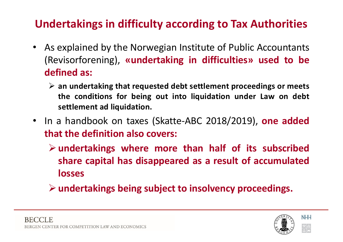#### **Undertakings in difficulty according to Tax Authorities**

- As explained by the Norwegian Institute of Public Accountants (Revisorforening), **«undertaking in difficulties» used to be defined as:**
	- Ø **an undertaking that requested debt settlement proceedings or meets the conditions for being out into liquidation under Law on debt settlement ad liquidation.**
- In a handbook on taxes (Skatte-ABC 2018/2019), **one added that the definition also covers:**
	- Ø**undertakings where more than half of its subscribed share capital has disappeared as a result of accumulated losses**
	- Ø**undertakings being subject to insolvency proceedings.**

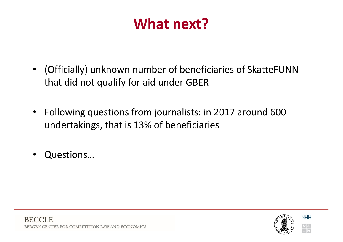#### **What next?**

- (Officially) unknown number of beneficiaries of SkatteFUNN that did not qualify for aid under GBER
- Following questions from journalists: in 2017 around 600 undertakings, that is 13% of beneficiaries
- Questions…

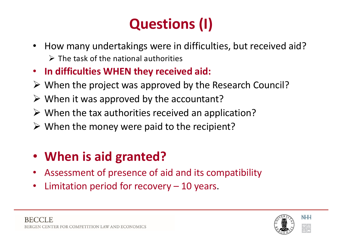## **Questions (I)**

- How many undertakings were in difficulties, but received aid?  $\triangleright$  The task of the national authorities
- **In difficulties WHEN they received aid:**
- $\triangleright$  When the project was approved by the Research Council?
- $\triangleright$  When it was approved by the accountant?
- $\triangleright$  When the tax authorities received an application?
- $\triangleright$  When the money were paid to the recipient?

#### • **When is aid granted?**

- Assessment of presence of aid and its compatibility
- Limitation period for recovery  $-10$  years.

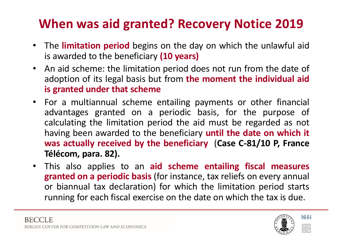#### **When was aid granted? Recovery Notice 2019**

- The **limitation period** begins on the day on which the unlawful aid is awarded to the beneficiary **(10 years)**
- An aid scheme: the limitation period does not run from the date of adoption of its legal basis but from **the moment the individual aid is granted under that scheme**
- For a multiannual scheme entailing payments or other financial advantages granted on a periodic basis, for the purpose of calculating the limitation period the aid must be regarded as not having been awarded to the beneficiary **until the date on which it was actually received by the beneficiary** (**Case C-81/10 P, France Télécom, para. 82).**
- This also applies to an **aid scheme entailing fiscal measures granted on a periodic basis** (for instance, tax reliefs on every annual or biannual tax declaration) for which the limitation period starts running for each fiscal exercise on the date on which the tax is due.

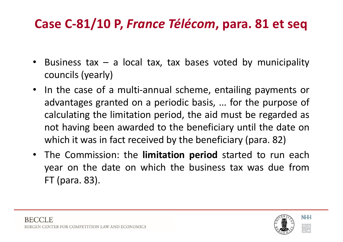#### **Case C-81/10 P,** *France Télécom***, para. 81 et seq**

- Business tax a local tax, tax bases voted by municipality councils (yearly)
- In the case of a multi-annual scheme, entailing payments or advantages granted on a periodic basis, ... for the purpose of calculating the limitation period, the aid must be regarded as not having been awarded to the beneficiary until the date on which it was in fact received by the beneficiary (para. 82)
- The Commission: the **limitation period** started to run each year on the date on which the business tax was due from FT (para. 83).

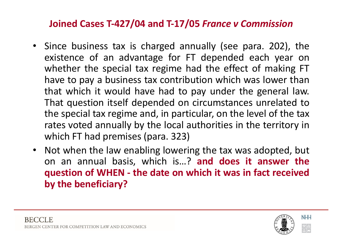#### **Joined Cases T-427/04 and T-17/05** *France v Commission*

- Since business tax is charged annually (see para. 202), the existence of an advantage for FT depended each year on whether the special tax regime had the effect of making FT have to pay a business tax contribution which was lower than that which it would have had to pay under the general law. That question itself depended on circumstances unrelated to the special tax regime and, in particular, on the level of the tax rates voted annually by the local authorities in the territory in which FT had premises (para. 323)
- Not when the law enabling lowering the tax was adopted, but on an annual basis, which is…? **and does it answer the question of WHEN - the date on which it was in fact received by the beneficiary?**

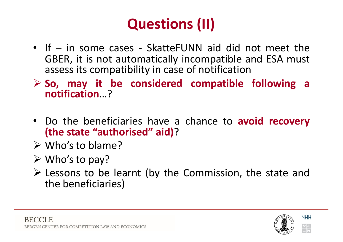## **Questions (II)**

- If in some cases SkatteFUNN aid did not meet the GBER, it is not automatically incompatible and ESA must assess its compatibility in case of notification
- Ø **So, may it be considered compatible following a notification**…?
- Do the beneficiaries have a chance to **avoid recovery (the state "authorised" aid)**?
- $\triangleright$  Who's to blame?
- $\triangleright$  Who's to pay?
- $\triangleright$  Lessons to be learnt (by the Commission, the state and the beneficiaries)

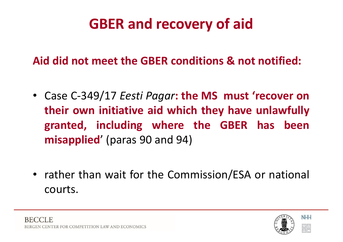### **GBER and recovery of aid**

**Aid did not meet the GBER conditions & not notified:**

- Case C-349/17 *Eesti Pagar***: the MS must 'recover on their own initiative aid which they have unlawfully granted, including where the GBER has been misapplied**' (paras 90 and 94)
- rather than wait for the Commission/ESA or national courts.



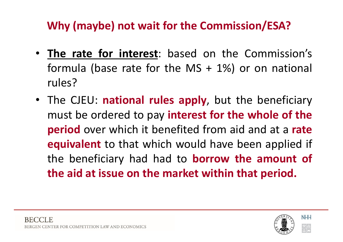#### **Why (maybe) not wait for the Commission/ESA?**

- **The rate for interest**: based on the Commission's formula (base rate for the MS  $+$  1%) or on national rules?
- The CJEU: **national rules apply**, but the beneficiary must be ordered to pay **interest for the whole of the period** over which it benefited from aid and at a **rate equivalent** to that which would have been applied if the beneficiary had had to **borrow the amount of the aid at issue on the market within that period.**

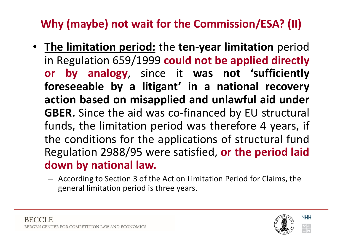#### **Why (maybe) not wait for the Commission/ESA? (II)**

- **The limitation period:** the **ten-year limitation** period in Regulation 659/1999 **could not be applied directly or by analogy**, since it **was not 'sufficiently foreseeable by a litigant' in a national recovery action based on misapplied and unlawful aid under GBER.** Since the aid was co-financed by EU structural funds, the limitation period was therefore 4 years, if the conditions for the applications of structural fund Regulation 2988/95 were satisfied, **or the period laid down by national law.**
	- According to Section 3 of the Act on Limitation Period for Claims, the general limitation period is three years.